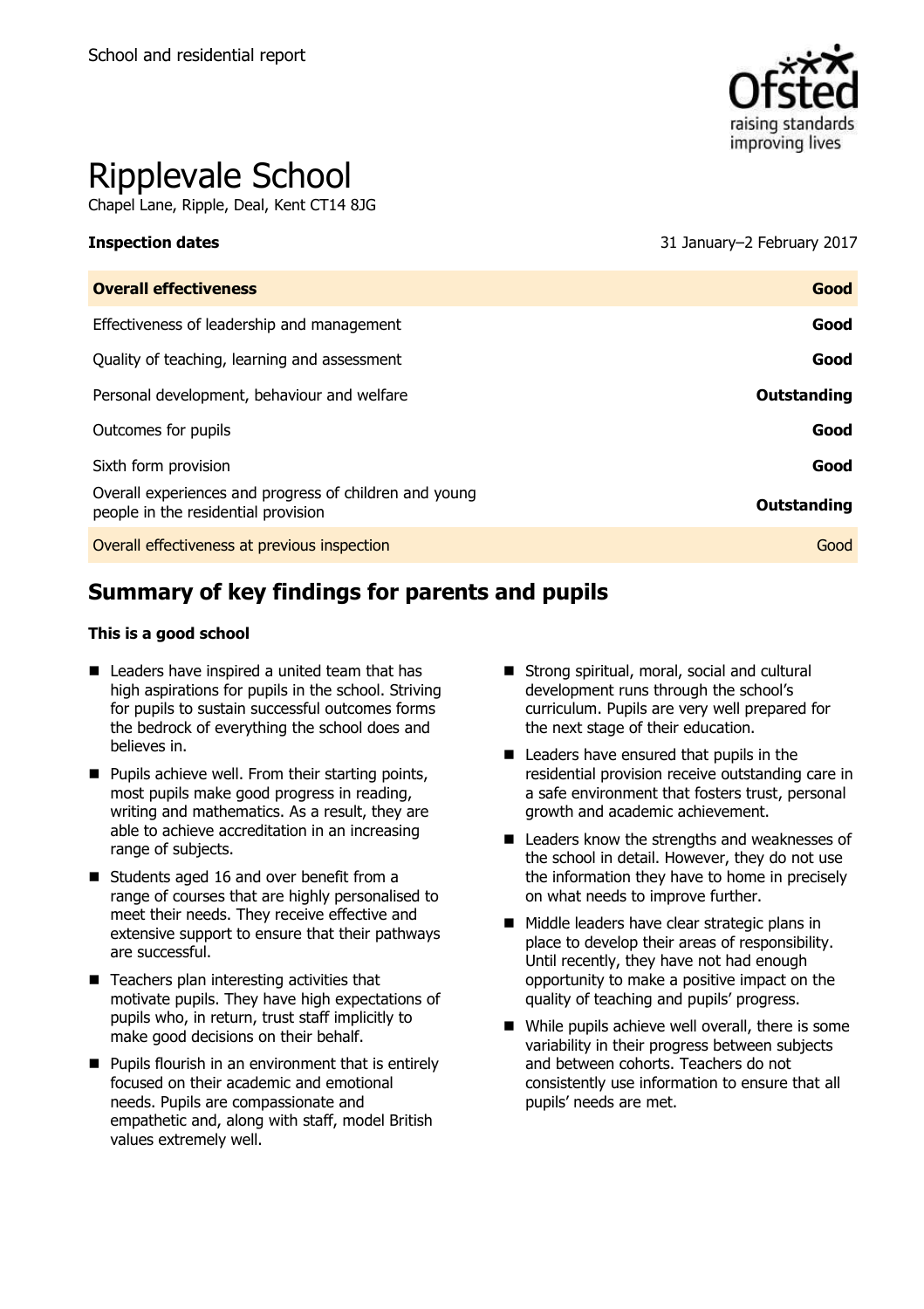

# Ripplevale School

Chapel Lane, Ripple, Deal, Kent CT14 8JG

**Inspection dates** 31 January–2 February 2017

| <b>Overall effectiveness</b>                                                                  | Good        |
|-----------------------------------------------------------------------------------------------|-------------|
| Effectiveness of leadership and management                                                    | Good        |
| Quality of teaching, learning and assessment                                                  | Good        |
| Personal development, behaviour and welfare                                                   | Outstanding |
| Outcomes for pupils                                                                           | Good        |
| Sixth form provision                                                                          | Good        |
| Overall experiences and progress of children and young<br>people in the residential provision | Outstanding |
| Overall effectiveness at previous inspection                                                  | Good        |

# **Summary of key findings for parents and pupils**

#### **This is a good school**

- Leaders have inspired a united team that has high aspirations for pupils in the school. Striving for pupils to sustain successful outcomes forms the bedrock of everything the school does and believes in.
- $\blacksquare$  Pupils achieve well. From their starting points, most pupils make good progress in reading, writing and mathematics. As a result, they are able to achieve accreditation in an increasing range of subjects.
- Students aged 16 and over benefit from a range of courses that are highly personalised to meet their needs. They receive effective and extensive support to ensure that their pathways are successful.
- Teachers plan interesting activities that motivate pupils. They have high expectations of pupils who, in return, trust staff implicitly to make good decisions on their behalf.
- **Pupils flourish in an environment that is entirely** focused on their academic and emotional needs. Pupils are compassionate and empathetic and, along with staff, model British values extremely well.
- Strong spiritual, moral, social and cultural development runs through the school's curriculum. Pupils are very well prepared for the next stage of their education.
- Leaders have ensured that pupils in the residential provision receive outstanding care in a safe environment that fosters trust, personal growth and academic achievement.
- Leaders know the strengths and weaknesses of the school in detail. However, they do not use the information they have to home in precisely on what needs to improve further.
- Middle leaders have clear strategic plans in place to develop their areas of responsibility. Until recently, they have not had enough opportunity to make a positive impact on the quality of teaching and pupils' progress.
- While pupils achieve well overall, there is some variability in their progress between subjects and between cohorts. Teachers do not consistently use information to ensure that all pupils' needs are met.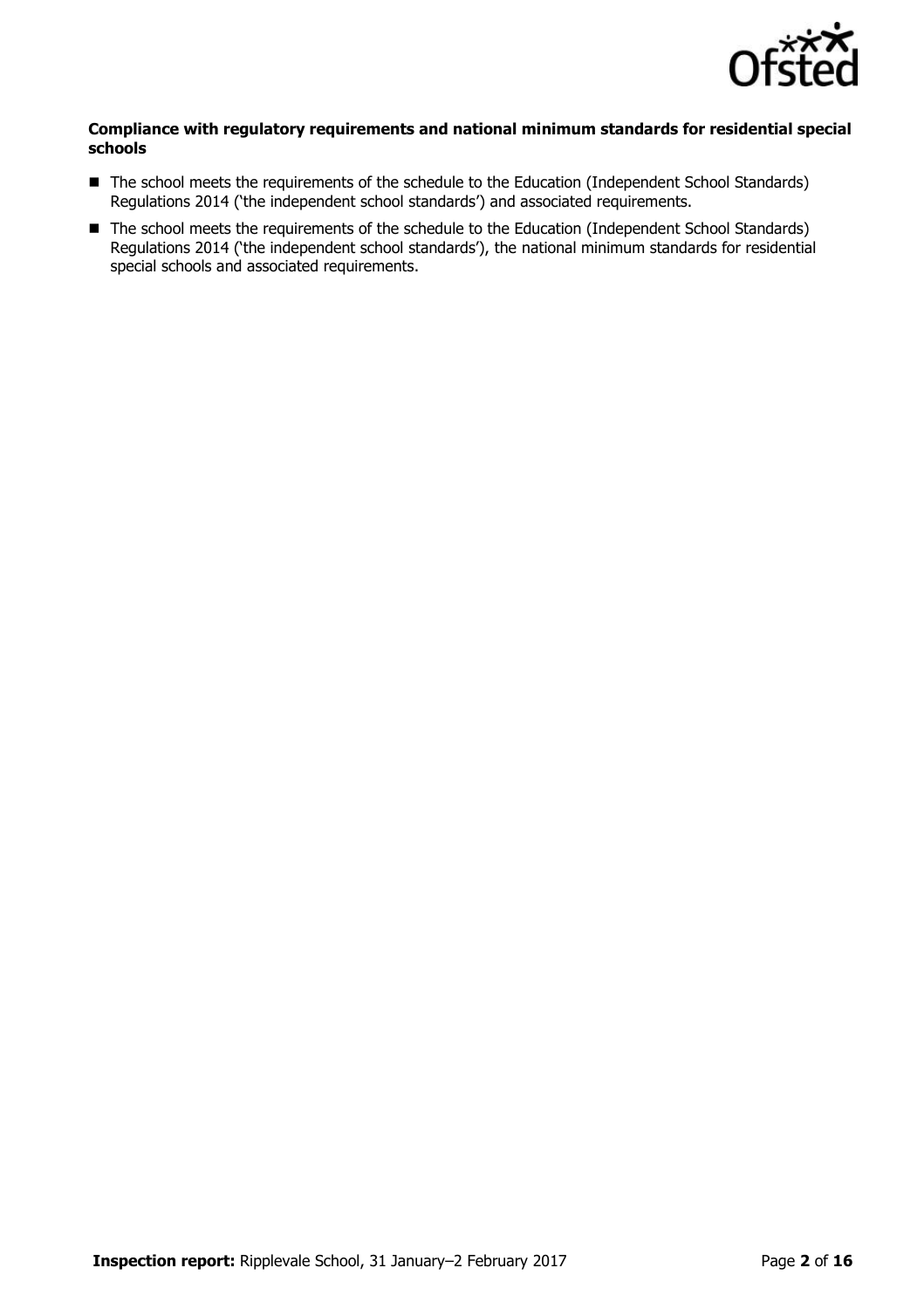

#### **Compliance with regulatory requirements and national minimum standards for residential special schools**

- The school meets the requirements of the schedule to the Education (Independent School Standards) Regulations 2014 ('the independent school standards') and associated requirements.
- The school meets the requirements of the schedule to the Education (Independent School Standards) Regulations 2014 ('the independent school standards'), the national minimum standards for residential special schools and associated requirements.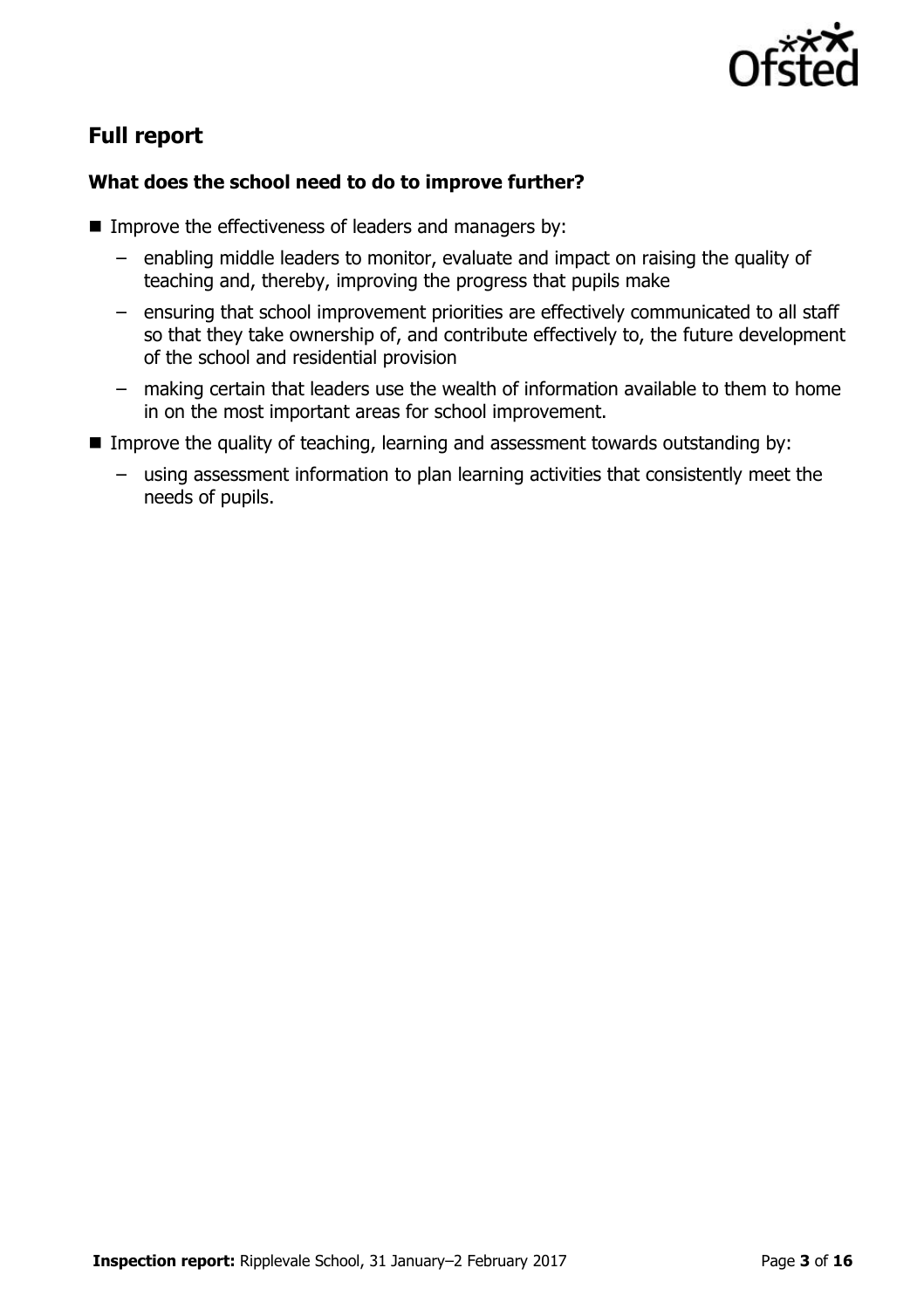

# **Full report**

### **What does the school need to do to improve further?**

- $\blacksquare$  Improve the effectiveness of leaders and managers by:
	- enabling middle leaders to monitor, evaluate and impact on raising the quality of teaching and, thereby, improving the progress that pupils make
	- ensuring that school improvement priorities are effectively communicated to all staff so that they take ownership of, and contribute effectively to, the future development of the school and residential provision
	- making certain that leaders use the wealth of information available to them to home in on the most important areas for school improvement.
- Improve the quality of teaching, learning and assessment towards outstanding by:
	- using assessment information to plan learning activities that consistently meet the needs of pupils.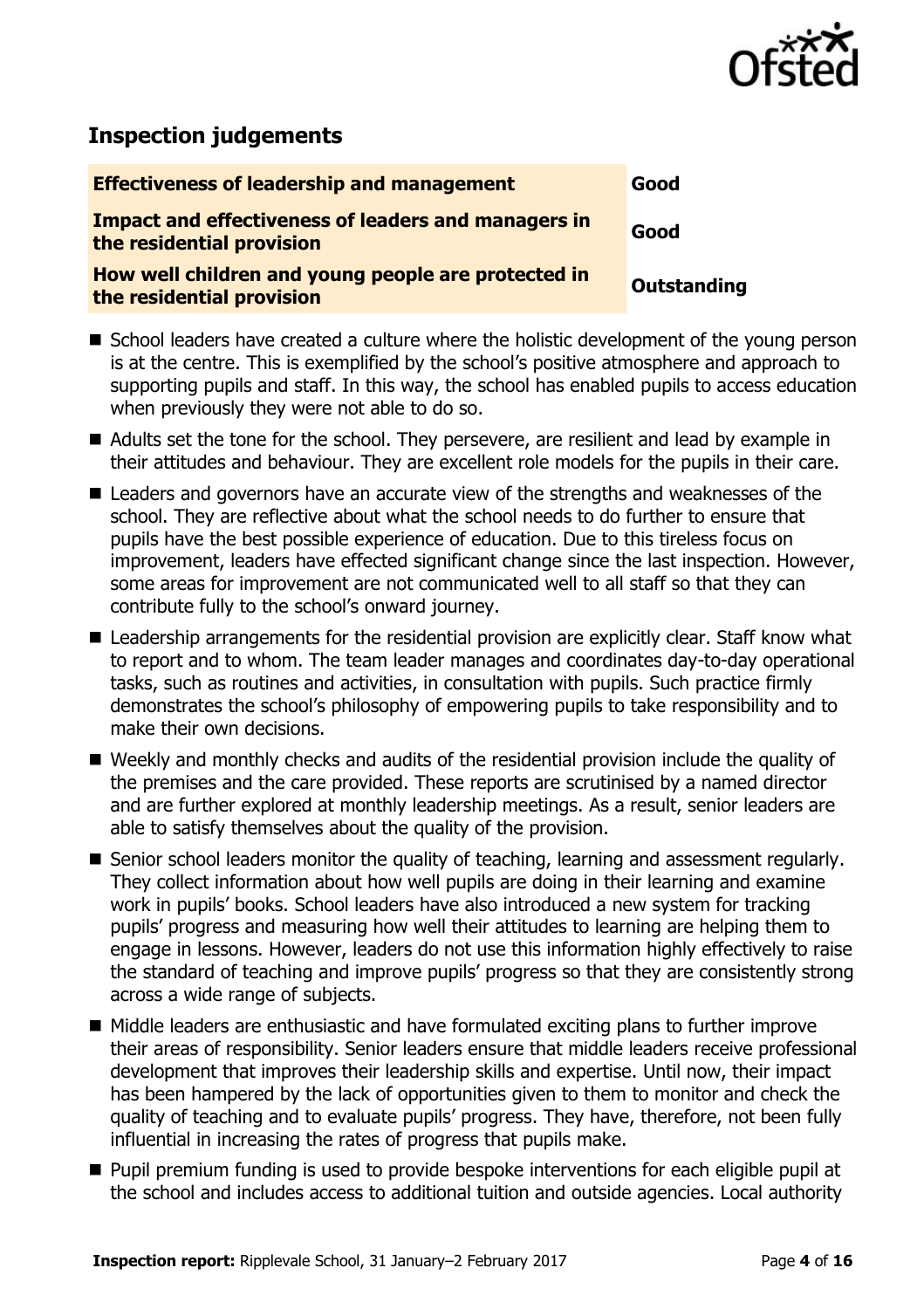

# **Inspection judgements**

| <b>Effectiveness of leadership and management</b>                                       | Good        |
|-----------------------------------------------------------------------------------------|-------------|
| <b>Impact and effectiveness of leaders and managers in</b><br>the residential provision | Good        |
| How well children and young people are protected in<br>the residential provision        | Outstanding |
|                                                                                         |             |

- School leaders have created a culture where the holistic development of the young person is at the centre. This is exemplified by the school's positive atmosphere and approach to supporting pupils and staff. In this way, the school has enabled pupils to access education when previously they were not able to do so.
- Adults set the tone for the school. They persevere, are resilient and lead by example in their attitudes and behaviour. They are excellent role models for the pupils in their care.
- Leaders and governors have an accurate view of the strengths and weaknesses of the school. They are reflective about what the school needs to do further to ensure that pupils have the best possible experience of education. Due to this tireless focus on improvement, leaders have effected significant change since the last inspection. However, some areas for improvement are not communicated well to all staff so that they can contribute fully to the school's onward journey.
- Leadership arrangements for the residential provision are explicitly clear. Staff know what to report and to whom. The team leader manages and coordinates day-to-day operational tasks, such as routines and activities, in consultation with pupils. Such practice firmly demonstrates the school's philosophy of empowering pupils to take responsibility and to make their own decisions.
- Weekly and monthly checks and audits of the residential provision include the quality of the premises and the care provided. These reports are scrutinised by a named director and are further explored at monthly leadership meetings. As a result, senior leaders are able to satisfy themselves about the quality of the provision.
- Senior school leaders monitor the quality of teaching, learning and assessment regularly. They collect information about how well pupils are doing in their learning and examine work in pupils' books. School leaders have also introduced a new system for tracking pupils' progress and measuring how well their attitudes to learning are helping them to engage in lessons. However, leaders do not use this information highly effectively to raise the standard of teaching and improve pupils' progress so that they are consistently strong across a wide range of subjects.
- Middle leaders are enthusiastic and have formulated exciting plans to further improve their areas of responsibility. Senior leaders ensure that middle leaders receive professional development that improves their leadership skills and expertise. Until now, their impact has been hampered by the lack of opportunities given to them to monitor and check the quality of teaching and to evaluate pupils' progress. They have, therefore, not been fully influential in increasing the rates of progress that pupils make.
- **Pupil premium funding is used to provide bespoke interventions for each eligible pupil at** the school and includes access to additional tuition and outside agencies. Local authority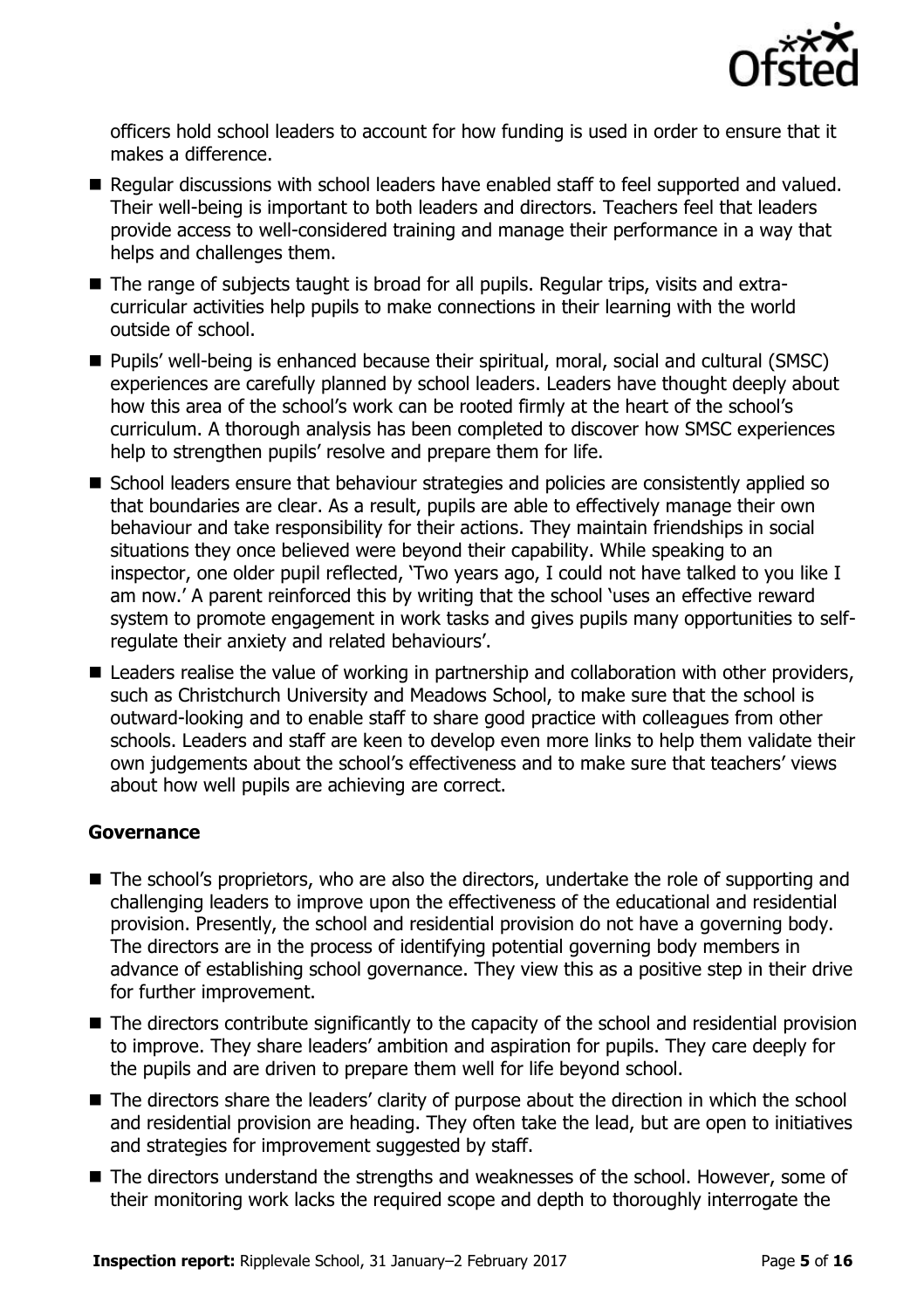

officers hold school leaders to account for how funding is used in order to ensure that it makes a difference.

- Regular discussions with school leaders have enabled staff to feel supported and valued. Their well-being is important to both leaders and directors. Teachers feel that leaders provide access to well-considered training and manage their performance in a way that helps and challenges them.
- The range of subjects taught is broad for all pupils. Regular trips, visits and extracurricular activities help pupils to make connections in their learning with the world outside of school.
- **Pupils' well-being is enhanced because their spiritual, moral, social and cultural (SMSC)** experiences are carefully planned by school leaders. Leaders have thought deeply about how this area of the school's work can be rooted firmly at the heart of the school's curriculum. A thorough analysis has been completed to discover how SMSC experiences help to strengthen pupils' resolve and prepare them for life.
- School leaders ensure that behaviour strategies and policies are consistently applied so that boundaries are clear. As a result, pupils are able to effectively manage their own behaviour and take responsibility for their actions. They maintain friendships in social situations they once believed were beyond their capability. While speaking to an inspector, one older pupil reflected, 'Two years ago, I could not have talked to you like I am now.' A parent reinforced this by writing that the school 'uses an effective reward system to promote engagement in work tasks and gives pupils many opportunities to selfregulate their anxiety and related behaviours'.
- Leaders realise the value of working in partnership and collaboration with other providers, such as Christchurch University and Meadows School, to make sure that the school is outward-looking and to enable staff to share good practice with colleagues from other schools. Leaders and staff are keen to develop even more links to help them validate their own judgements about the school's effectiveness and to make sure that teachers' views about how well pupils are achieving are correct.

### **Governance**

- The school's proprietors, who are also the directors, undertake the role of supporting and challenging leaders to improve upon the effectiveness of the educational and residential provision. Presently, the school and residential provision do not have a governing body. The directors are in the process of identifying potential governing body members in advance of establishing school governance. They view this as a positive step in their drive for further improvement.
- The directors contribute significantly to the capacity of the school and residential provision to improve. They share leaders' ambition and aspiration for pupils. They care deeply for the pupils and are driven to prepare them well for life beyond school.
- The directors share the leaders' clarity of purpose about the direction in which the school and residential provision are heading. They often take the lead, but are open to initiatives and strategies for improvement suggested by staff.
- The directors understand the strengths and weaknesses of the school. However, some of their monitoring work lacks the required scope and depth to thoroughly interrogate the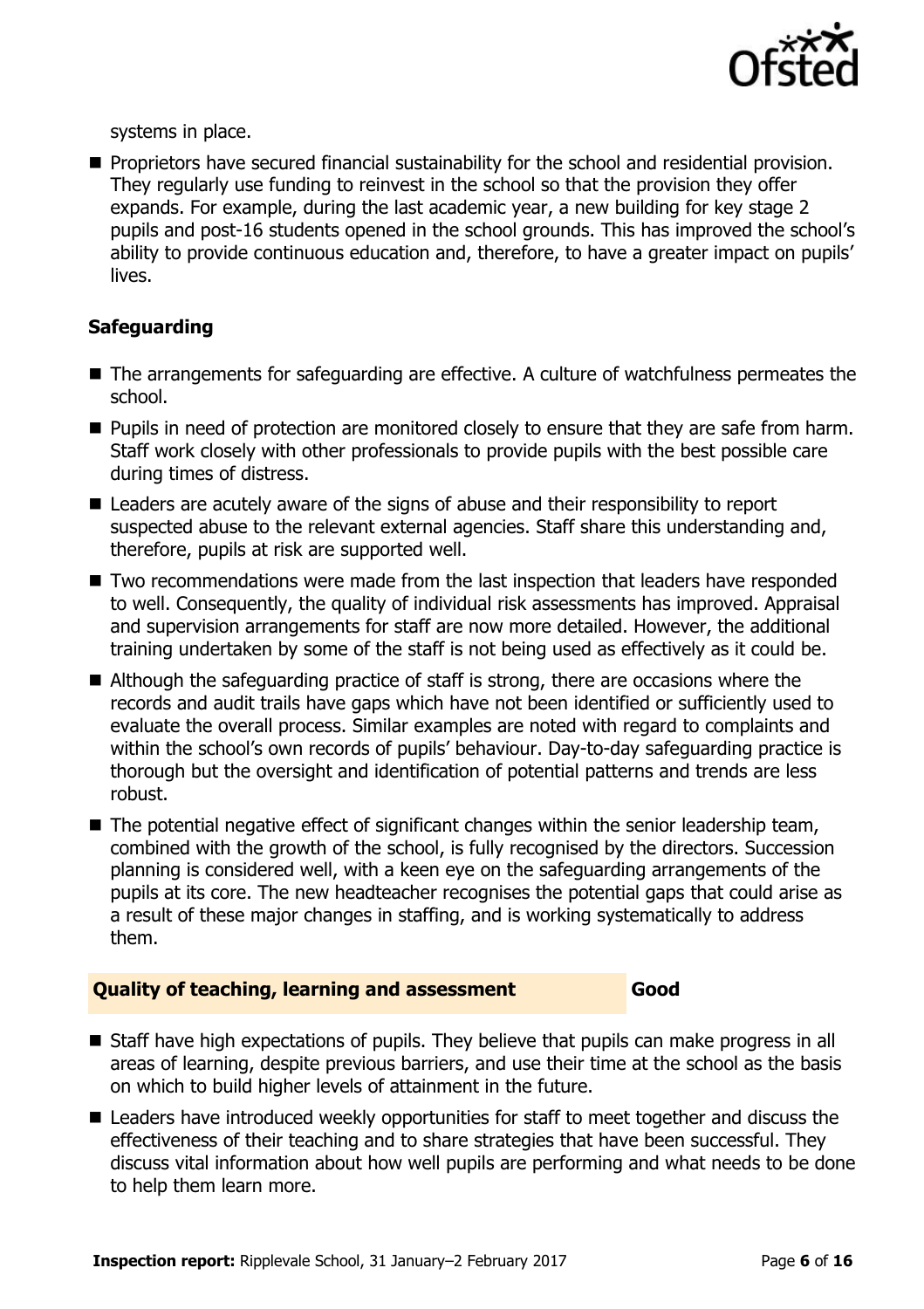

systems in place.

**Proprietors have secured financial sustainability for the school and residential provision.** They regularly use funding to reinvest in the school so that the provision they offer expands. For example, during the last academic year, a new building for key stage 2 pupils and post-16 students opened in the school grounds. This has improved the school's ability to provide continuous education and, therefore, to have a greater impact on pupils' lives.

### **Safeguarding**

- The arrangements for safeguarding are effective. A culture of watchfulness permeates the school.
- **Pupils in need of protection are monitored closely to ensure that they are safe from harm.** Staff work closely with other professionals to provide pupils with the best possible care during times of distress.
- Leaders are acutely aware of the signs of abuse and their responsibility to report suspected abuse to the relevant external agencies. Staff share this understanding and, therefore, pupils at risk are supported well.
- Two recommendations were made from the last inspection that leaders have responded to well. Consequently, the quality of individual risk assessments has improved. Appraisal and supervision arrangements for staff are now more detailed. However, the additional training undertaken by some of the staff is not being used as effectively as it could be.
- Although the safeguarding practice of staff is strong, there are occasions where the records and audit trails have gaps which have not been identified or sufficiently used to evaluate the overall process. Similar examples are noted with regard to complaints and within the school's own records of pupils' behaviour. Day-to-day safeguarding practice is thorough but the oversight and identification of potential patterns and trends are less robust.
- The potential negative effect of significant changes within the senior leadership team, combined with the growth of the school, is fully recognised by the directors. Succession planning is considered well, with a keen eye on the safeguarding arrangements of the pupils at its core. The new headteacher recognises the potential gaps that could arise as a result of these major changes in staffing, and is working systematically to address them.

### **Quality of teaching, learning and assessment Good**

- Staff have high expectations of pupils. They believe that pupils can make progress in all areas of learning, despite previous barriers, and use their time at the school as the basis on which to build higher levels of attainment in the future.
- Leaders have introduced weekly opportunities for staff to meet together and discuss the effectiveness of their teaching and to share strategies that have been successful. They discuss vital information about how well pupils are performing and what needs to be done to help them learn more.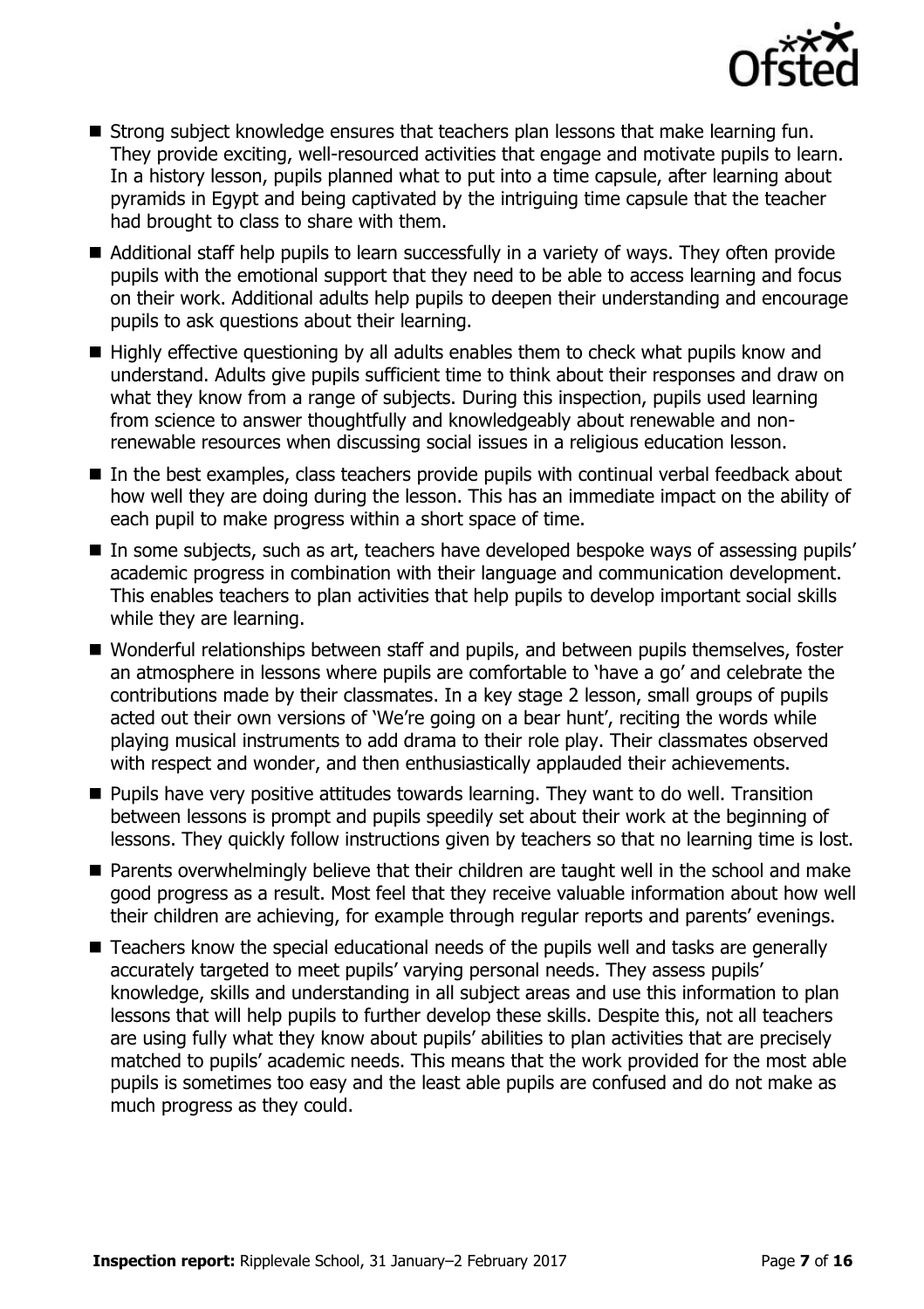

- Strong subject knowledge ensures that teachers plan lessons that make learning fun. They provide exciting, well-resourced activities that engage and motivate pupils to learn. In a history lesson, pupils planned what to put into a time capsule, after learning about pyramids in Egypt and being captivated by the intriguing time capsule that the teacher had brought to class to share with them.
- Additional staff help pupils to learn successfully in a variety of ways. They often provide pupils with the emotional support that they need to be able to access learning and focus on their work. Additional adults help pupils to deepen their understanding and encourage pupils to ask questions about their learning.
- $\blacksquare$  Highly effective questioning by all adults enables them to check what pupils know and understand. Adults give pupils sufficient time to think about their responses and draw on what they know from a range of subjects. During this inspection, pupils used learning from science to answer thoughtfully and knowledgeably about renewable and nonrenewable resources when discussing social issues in a religious education lesson.
- In the best examples, class teachers provide pupils with continual verbal feedback about how well they are doing during the lesson. This has an immediate impact on the ability of each pupil to make progress within a short space of time.
- In some subjects, such as art, teachers have developed bespoke ways of assessing pupils' academic progress in combination with their language and communication development. This enables teachers to plan activities that help pupils to develop important social skills while they are learning.
- Wonderful relationships between staff and pupils, and between pupils themselves, foster an atmosphere in lessons where pupils are comfortable to 'have a go' and celebrate the contributions made by their classmates. In a key stage 2 lesson, small groups of pupils acted out their own versions of 'We're going on a bear hunt', reciting the words while playing musical instruments to add drama to their role play. Their classmates observed with respect and wonder, and then enthusiastically applauded their achievements.
- **Pupils have very positive attitudes towards learning. They want to do well. Transition** between lessons is prompt and pupils speedily set about their work at the beginning of lessons. They quickly follow instructions given by teachers so that no learning time is lost.
- **Parents overwhelmingly believe that their children are taught well in the school and make** good progress as a result. Most feel that they receive valuable information about how well their children are achieving, for example through regular reports and parents' evenings.
- Teachers know the special educational needs of the pupils well and tasks are generally accurately targeted to meet pupils' varying personal needs. They assess pupils' knowledge, skills and understanding in all subject areas and use this information to plan lessons that will help pupils to further develop these skills. Despite this, not all teachers are using fully what they know about pupils' abilities to plan activities that are precisely matched to pupils' academic needs. This means that the work provided for the most able pupils is sometimes too easy and the least able pupils are confused and do not make as much progress as they could.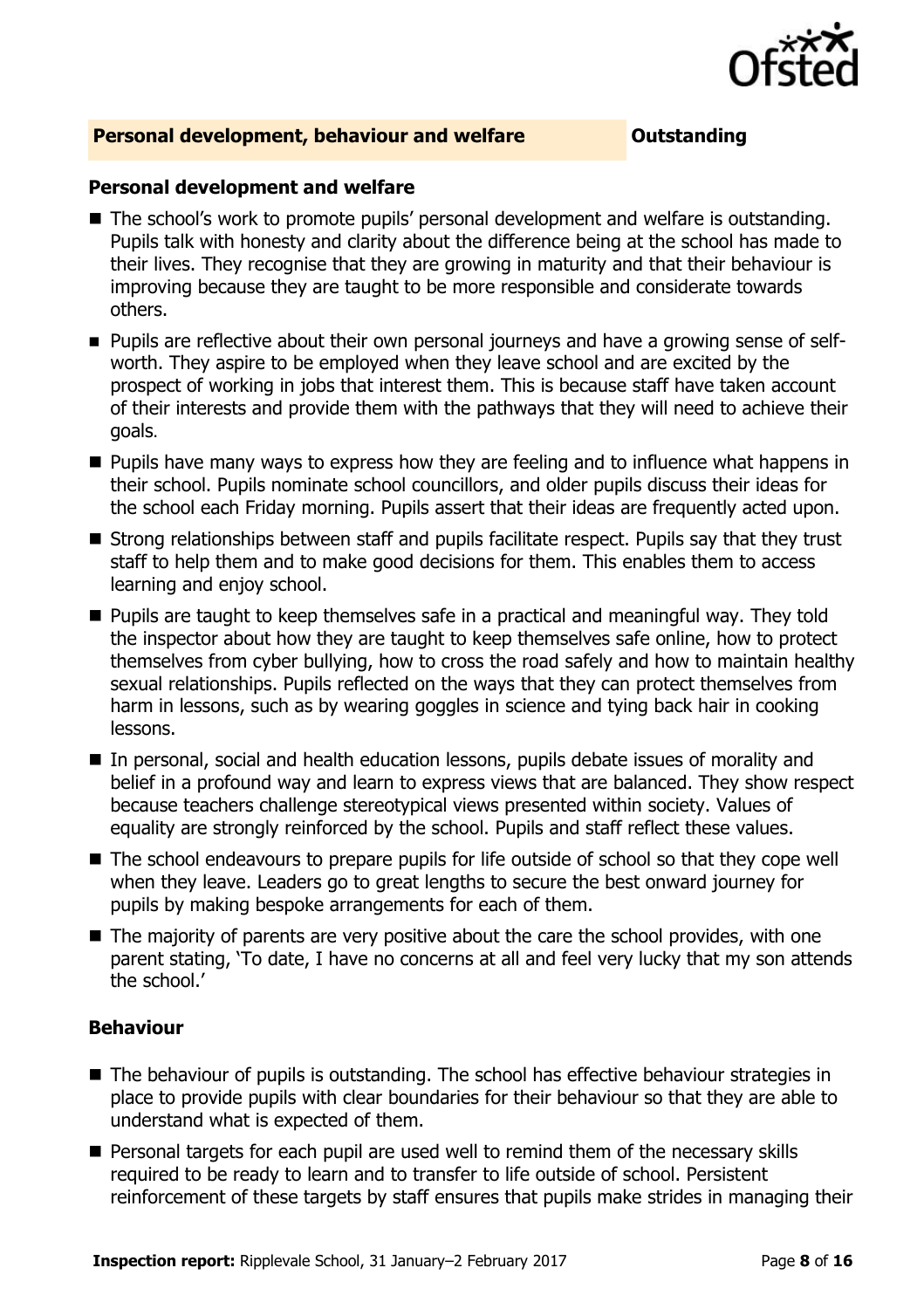

#### **Personal development, behaviour and welfare <b>COUNG COULDER** Outstanding

#### **Personal development and welfare**

- The school's work to promote pupils' personal development and welfare is outstanding. Pupils talk with honesty and clarity about the difference being at the school has made to their lives. They recognise that they are growing in maturity and that their behaviour is improving because they are taught to be more responsible and considerate towards others.
- **Pupils are reflective about their own personal journeys and have a growing sense of self**worth. They aspire to be employed when they leave school and are excited by the prospect of working in jobs that interest them. This is because staff have taken account of their interests and provide them with the pathways that they will need to achieve their goals.
- **Pupils have many ways to express how they are feeling and to influence what happens in** their school. Pupils nominate school councillors, and older pupils discuss their ideas for the school each Friday morning. Pupils assert that their ideas are frequently acted upon.
- $\blacksquare$  Strong relationships between staff and pupils facilitate respect. Pupils say that they trust staff to help them and to make good decisions for them. This enables them to access learning and enjoy school.
- **Pupils are taught to keep themselves safe in a practical and meaningful way. They told** the inspector about how they are taught to keep themselves safe online, how to protect themselves from cyber bullying, how to cross the road safely and how to maintain healthy sexual relationships. Pupils reflected on the ways that they can protect themselves from harm in lessons, such as by wearing goggles in science and tying back hair in cooking lessons.
- In personal, social and health education lessons, pupils debate issues of morality and belief in a profound way and learn to express views that are balanced. They show respect because teachers challenge stereotypical views presented within society. Values of equality are strongly reinforced by the school. Pupils and staff reflect these values.
- The school endeavours to prepare pupils for life outside of school so that they cope well when they leave. Leaders go to great lengths to secure the best onward journey for pupils by making bespoke arrangements for each of them.
- The majority of parents are very positive about the care the school provides, with one parent stating, 'To date, I have no concerns at all and feel very lucky that my son attends the school.'

#### **Behaviour**

- The behaviour of pupils is outstanding. The school has effective behaviour strategies in place to provide pupils with clear boundaries for their behaviour so that they are able to understand what is expected of them.
- **Personal targets for each pupil are used well to remind them of the necessary skills** required to be ready to learn and to transfer to life outside of school. Persistent reinforcement of these targets by staff ensures that pupils make strides in managing their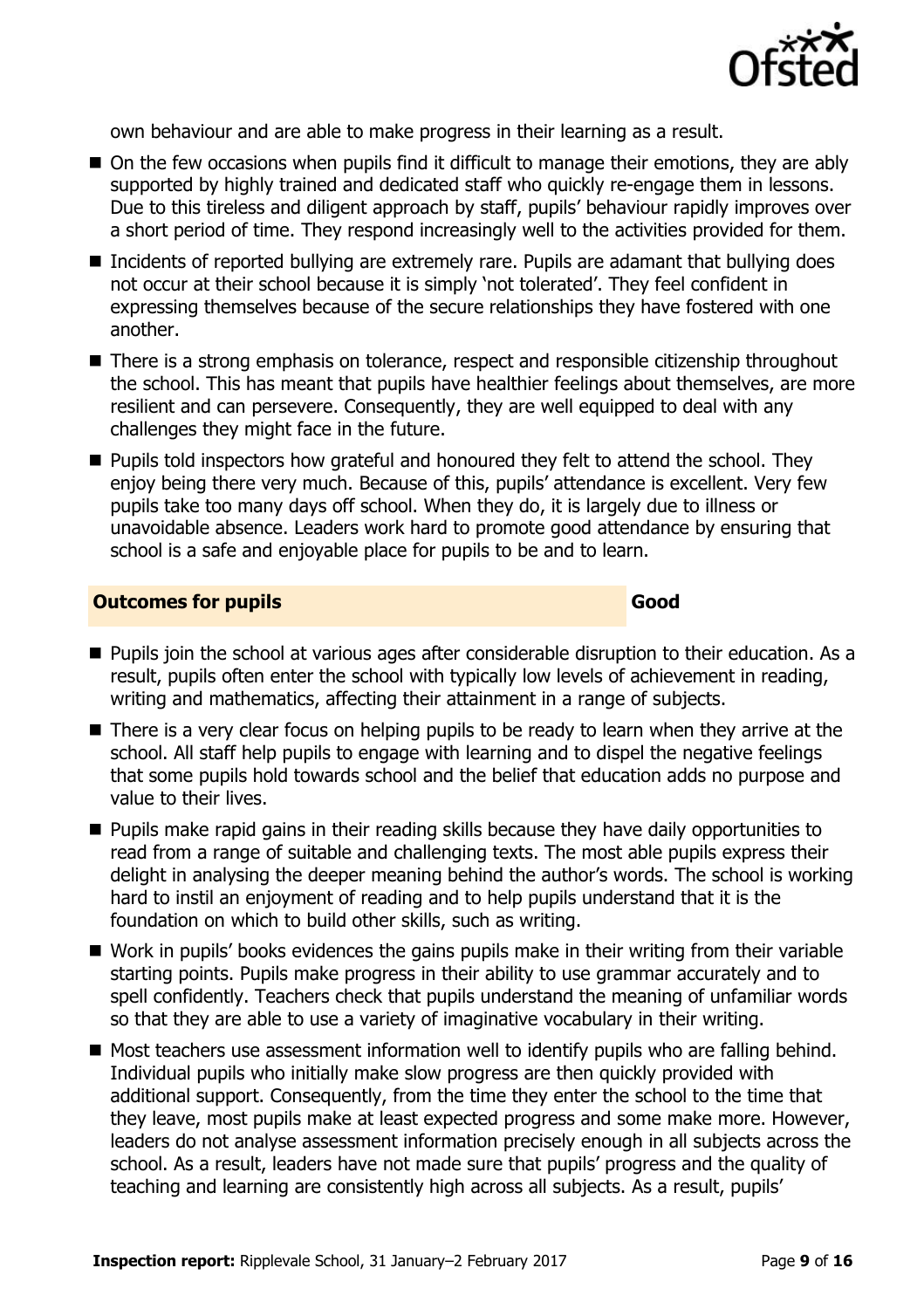

own behaviour and are able to make progress in their learning as a result.

- On the few occasions when pupils find it difficult to manage their emotions, they are ably supported by highly trained and dedicated staff who quickly re-engage them in lessons. Due to this tireless and diligent approach by staff, pupils' behaviour rapidly improves over a short period of time. They respond increasingly well to the activities provided for them.
- Incidents of reported bullying are extremely rare. Pupils are adamant that bullying does not occur at their school because it is simply 'not tolerated'. They feel confident in expressing themselves because of the secure relationships they have fostered with one another.
- There is a strong emphasis on tolerance, respect and responsible citizenship throughout the school. This has meant that pupils have healthier feelings about themselves, are more resilient and can persevere. Consequently, they are well equipped to deal with any challenges they might face in the future.
- **Pupils told inspectors how grateful and honoured they felt to attend the school. They** enjoy being there very much. Because of this, pupils' attendance is excellent. Very few pupils take too many days off school. When they do, it is largely due to illness or unavoidable absence. Leaders work hard to promote good attendance by ensuring that school is a safe and enjoyable place for pupils to be and to learn.

#### **Outcomes for pupils Good**

- **Pupils join the school at various ages after considerable disruption to their education. As a** result, pupils often enter the school with typically low levels of achievement in reading, writing and mathematics, affecting their attainment in a range of subjects.
- There is a very clear focus on helping pupils to be ready to learn when they arrive at the school. All staff help pupils to engage with learning and to dispel the negative feelings that some pupils hold towards school and the belief that education adds no purpose and value to their lives.
- **Pupils make rapid gains in their reading skills because they have daily opportunities to** read from a range of suitable and challenging texts. The most able pupils express their delight in analysing the deeper meaning behind the author's words. The school is working hard to instil an enjoyment of reading and to help pupils understand that it is the foundation on which to build other skills, such as writing.
- Work in pupils' books evidences the gains pupils make in their writing from their variable starting points. Pupils make progress in their ability to use grammar accurately and to spell confidently. Teachers check that pupils understand the meaning of unfamiliar words so that they are able to use a variety of imaginative vocabulary in their writing.
- Most teachers use assessment information well to identify pupils who are falling behind. Individual pupils who initially make slow progress are then quickly provided with additional support. Consequently, from the time they enter the school to the time that they leave, most pupils make at least expected progress and some make more. However, leaders do not analyse assessment information precisely enough in all subjects across the school. As a result, leaders have not made sure that pupils' progress and the quality of teaching and learning are consistently high across all subjects. As a result, pupils'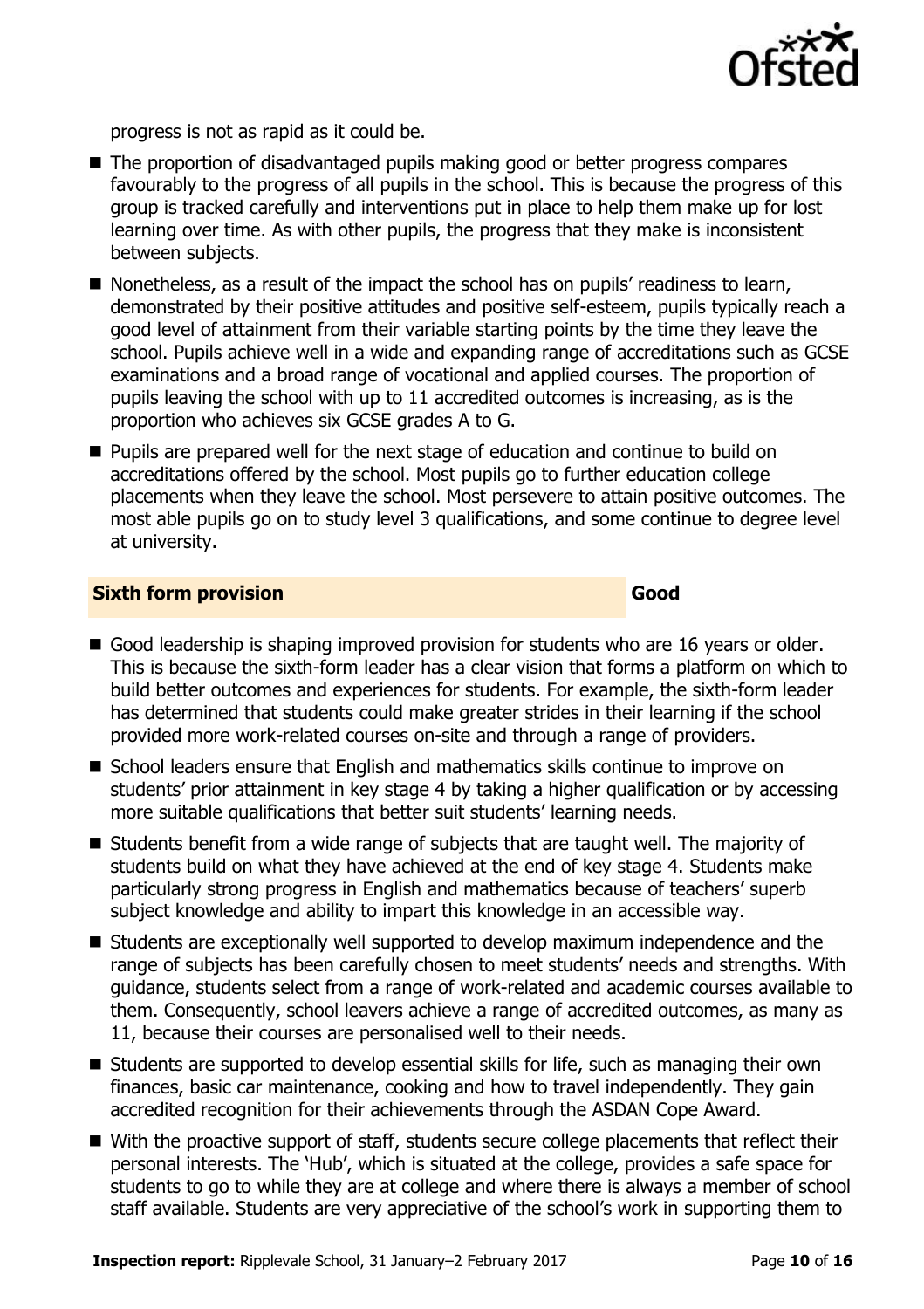

progress is not as rapid as it could be.

- The proportion of disadvantaged pupils making good or better progress compares favourably to the progress of all pupils in the school. This is because the progress of this group is tracked carefully and interventions put in place to help them make up for lost learning over time. As with other pupils, the progress that they make is inconsistent between subjects.
- Nonetheless, as a result of the impact the school has on pupils' readiness to learn, demonstrated by their positive attitudes and positive self-esteem, pupils typically reach a good level of attainment from their variable starting points by the time they leave the school. Pupils achieve well in a wide and expanding range of accreditations such as GCSE examinations and a broad range of vocational and applied courses. The proportion of pupils leaving the school with up to 11 accredited outcomes is increasing, as is the proportion who achieves six GCSE grades A to G.
- **Pupils are prepared well for the next stage of education and continue to build on** accreditations offered by the school. Most pupils go to further education college placements when they leave the school. Most persevere to attain positive outcomes. The most able pupils go on to study level 3 qualifications, and some continue to degree level at university.

#### **Sixth form provision Good**

- Good leadership is shaping improved provision for students who are 16 years or older. This is because the sixth-form leader has a clear vision that forms a platform on which to build better outcomes and experiences for students. For example, the sixth-form leader has determined that students could make greater strides in their learning if the school provided more work-related courses on-site and through a range of providers.
- School leaders ensure that English and mathematics skills continue to improve on students' prior attainment in key stage 4 by taking a higher qualification or by accessing more suitable qualifications that better suit students' learning needs.
- Students benefit from a wide range of subjects that are taught well. The majority of students build on what they have achieved at the end of key stage 4. Students make particularly strong progress in English and mathematics because of teachers' superb subject knowledge and ability to impart this knowledge in an accessible way.
- Students are exceptionally well supported to develop maximum independence and the range of subjects has been carefully chosen to meet students' needs and strengths. With guidance, students select from a range of work-related and academic courses available to them. Consequently, school leavers achieve a range of accredited outcomes, as many as 11, because their courses are personalised well to their needs.
- Students are supported to develop essential skills for life, such as managing their own finances, basic car maintenance, cooking and how to travel independently. They gain accredited recognition for their achievements through the ASDAN Cope Award.
- With the proactive support of staff, students secure college placements that reflect their personal interests. The 'Hub', which is situated at the college, provides a safe space for students to go to while they are at college and where there is always a member of school staff available. Students are very appreciative of the school's work in supporting them to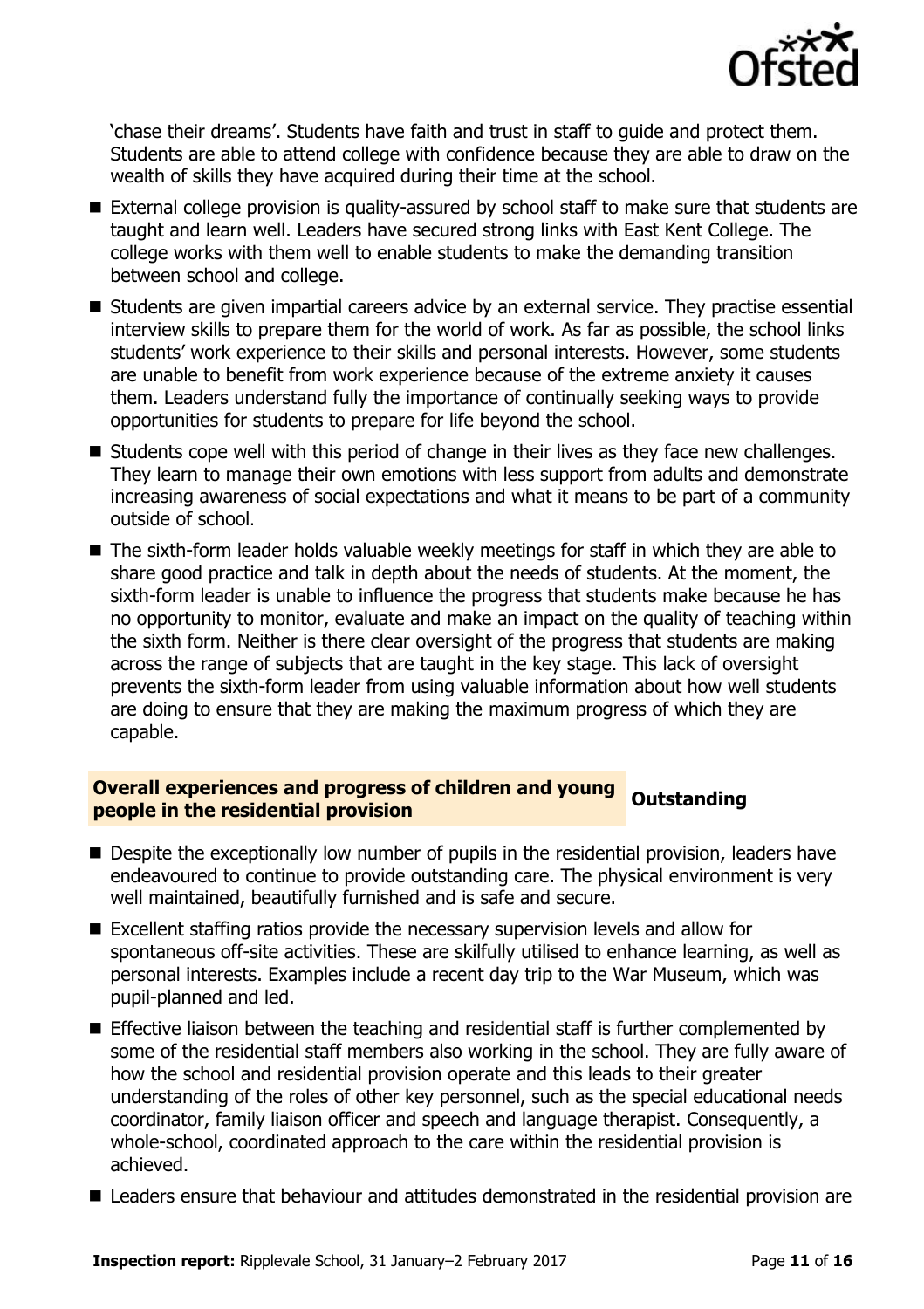

'chase their dreams'. Students have faith and trust in staff to guide and protect them. Students are able to attend college with confidence because they are able to draw on the wealth of skills they have acquired during their time at the school.

- External college provision is quality-assured by school staff to make sure that students are taught and learn well. Leaders have secured strong links with East Kent College. The college works with them well to enable students to make the demanding transition between school and college.
- Students are given impartial careers advice by an external service. They practise essential interview skills to prepare them for the world of work. As far as possible, the school links students' work experience to their skills and personal interests. However, some students are unable to benefit from work experience because of the extreme anxiety it causes them. Leaders understand fully the importance of continually seeking ways to provide opportunities for students to prepare for life beyond the school.
- Students cope well with this period of change in their lives as they face new challenges. They learn to manage their own emotions with less support from adults and demonstrate increasing awareness of social expectations and what it means to be part of a community outside of school.
- The sixth-form leader holds valuable weekly meetings for staff in which they are able to share good practice and talk in depth about the needs of students. At the moment, the sixth-form leader is unable to influence the progress that students make because he has no opportunity to monitor, evaluate and make an impact on the quality of teaching within the sixth form. Neither is there clear oversight of the progress that students are making across the range of subjects that are taught in the key stage. This lack of oversight prevents the sixth-form leader from using valuable information about how well students are doing to ensure that they are making the maximum progress of which they are capable.

# **Overall experiences and progress of children and young coutstanding people in the residential provision**

- **Despite the exceptionally low number of pupils in the residential provision, leaders have** endeavoured to continue to provide outstanding care. The physical environment is very well maintained, beautifully furnished and is safe and secure.
- Excellent staffing ratios provide the necessary supervision levels and allow for spontaneous off-site activities. These are skilfully utilised to enhance learning, as well as personal interests. Examples include a recent day trip to the War Museum, which was pupil-planned and led.
- **E** Effective liaison between the teaching and residential staff is further complemented by some of the residential staff members also working in the school. They are fully aware of how the school and residential provision operate and this leads to their greater understanding of the roles of other key personnel, such as the special educational needs coordinator, family liaison officer and speech and language therapist. Consequently, a whole-school, coordinated approach to the care within the residential provision is achieved.
- Leaders ensure that behaviour and attitudes demonstrated in the residential provision are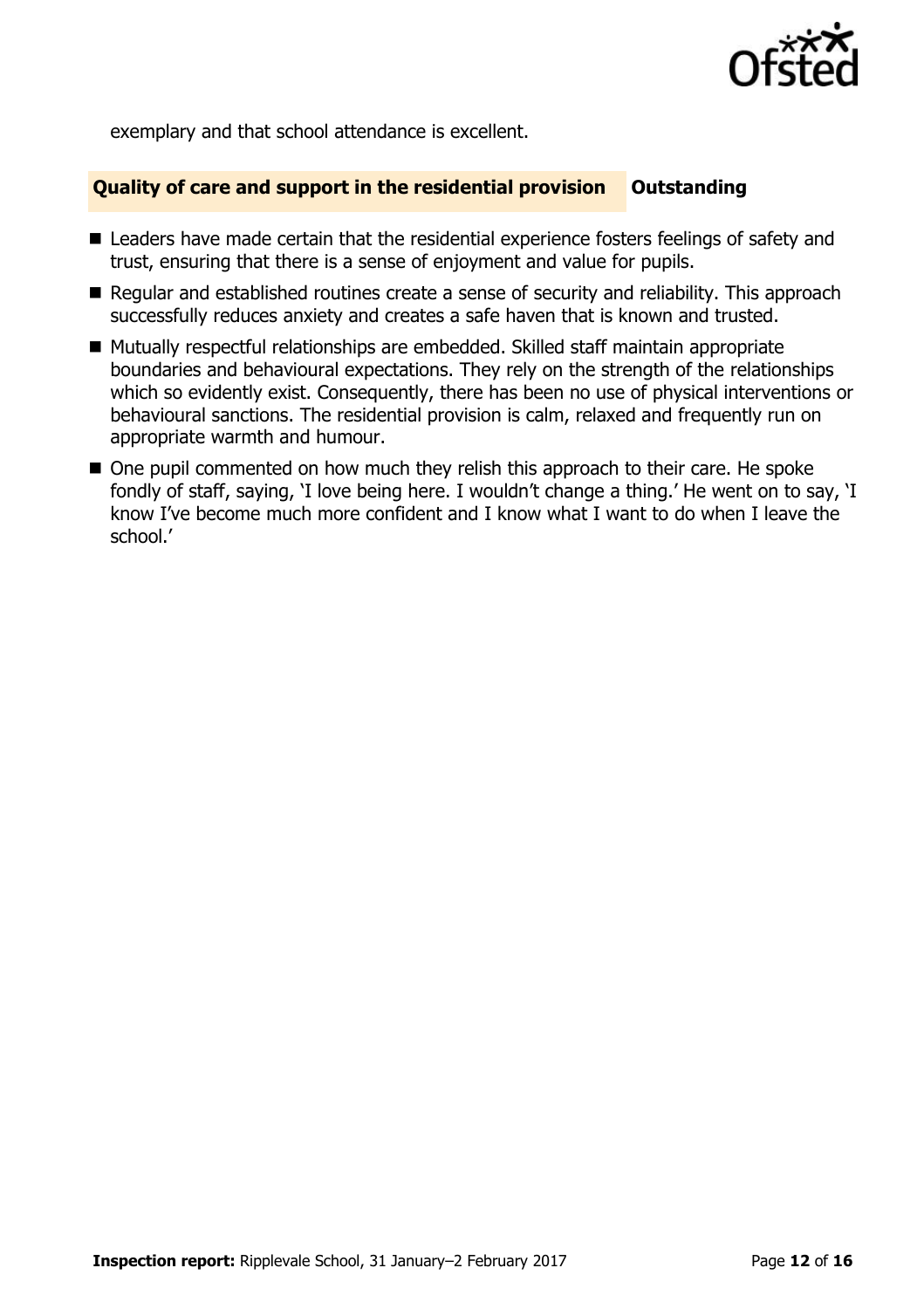

exemplary and that school attendance is excellent.

#### **Quality of care and support in the residential provision Cutstanding**

- Leaders have made certain that the residential experience fosters feelings of safety and trust, ensuring that there is a sense of enjoyment and value for pupils.
- Regular and established routines create a sense of security and reliability. This approach successfully reduces anxiety and creates a safe haven that is known and trusted.
- Mutually respectful relationships are embedded. Skilled staff maintain appropriate boundaries and behavioural expectations. They rely on the strength of the relationships which so evidently exist. Consequently, there has been no use of physical interventions or behavioural sanctions. The residential provision is calm, relaxed and frequently run on appropriate warmth and humour.
- One pupil commented on how much they relish this approach to their care. He spoke fondly of staff, saying, 'I love being here. I wouldn't change a thing.' He went on to say, 'I know I've become much more confident and I know what I want to do when I leave the school.'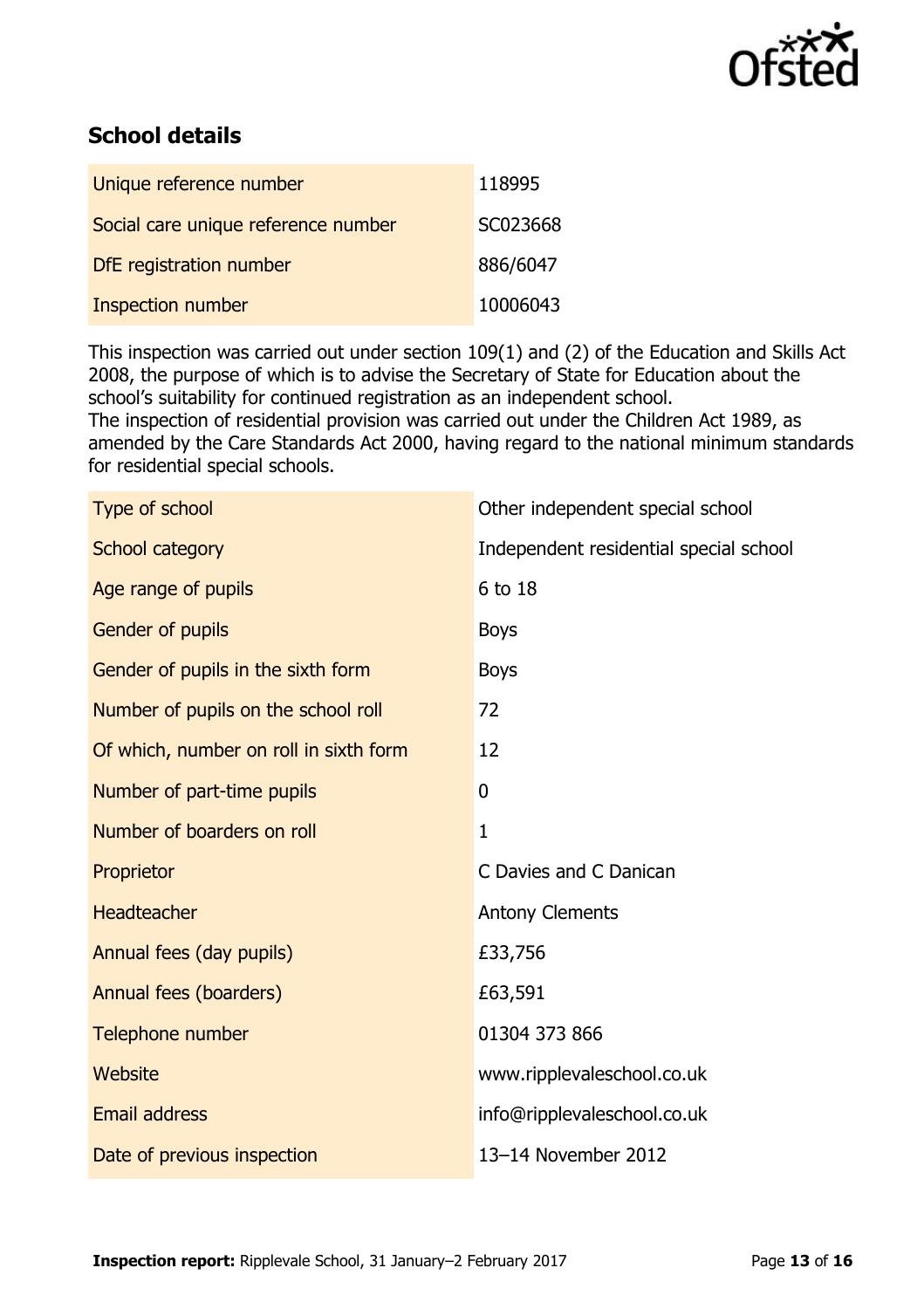

## **School details**

| Unique reference number             | 118995   |
|-------------------------------------|----------|
| Social care unique reference number | SC023668 |
| DfE registration number             | 886/6047 |
| Inspection number                   | 10006043 |

This inspection was carried out under section 109(1) and (2) of the Education and Skills Act 2008, the purpose of which is to advise the Secretary of State for Education about the school's suitability for continued registration as an independent school.

The inspection of residential provision was carried out under the Children Act 1989, as amended by the Care Standards Act 2000, having regard to the national minimum standards for residential special schools.

| Type of school                         | Other independent special school       |
|----------------------------------------|----------------------------------------|
| School category                        | Independent residential special school |
| Age range of pupils                    | 6 to 18                                |
| Gender of pupils                       | <b>Boys</b>                            |
| Gender of pupils in the sixth form     | <b>Boys</b>                            |
| Number of pupils on the school roll    | 72                                     |
| Of which, number on roll in sixth form | 12                                     |
| Number of part-time pupils             | 0                                      |
| Number of boarders on roll             | $\mathbf{1}$                           |
| Proprietor                             | C Davies and C Danican                 |
| <b>Headteacher</b>                     | <b>Antony Clements</b>                 |
| Annual fees (day pupils)               | £33,756                                |
| Annual fees (boarders)                 | £63,591                                |
| Telephone number                       | 01304 373 866                          |
| Website                                | www.ripplevaleschool.co.uk             |
| <b>Email address</b>                   | info@ripplevaleschool.co.uk            |
| Date of previous inspection            | 13-14 November 2012                    |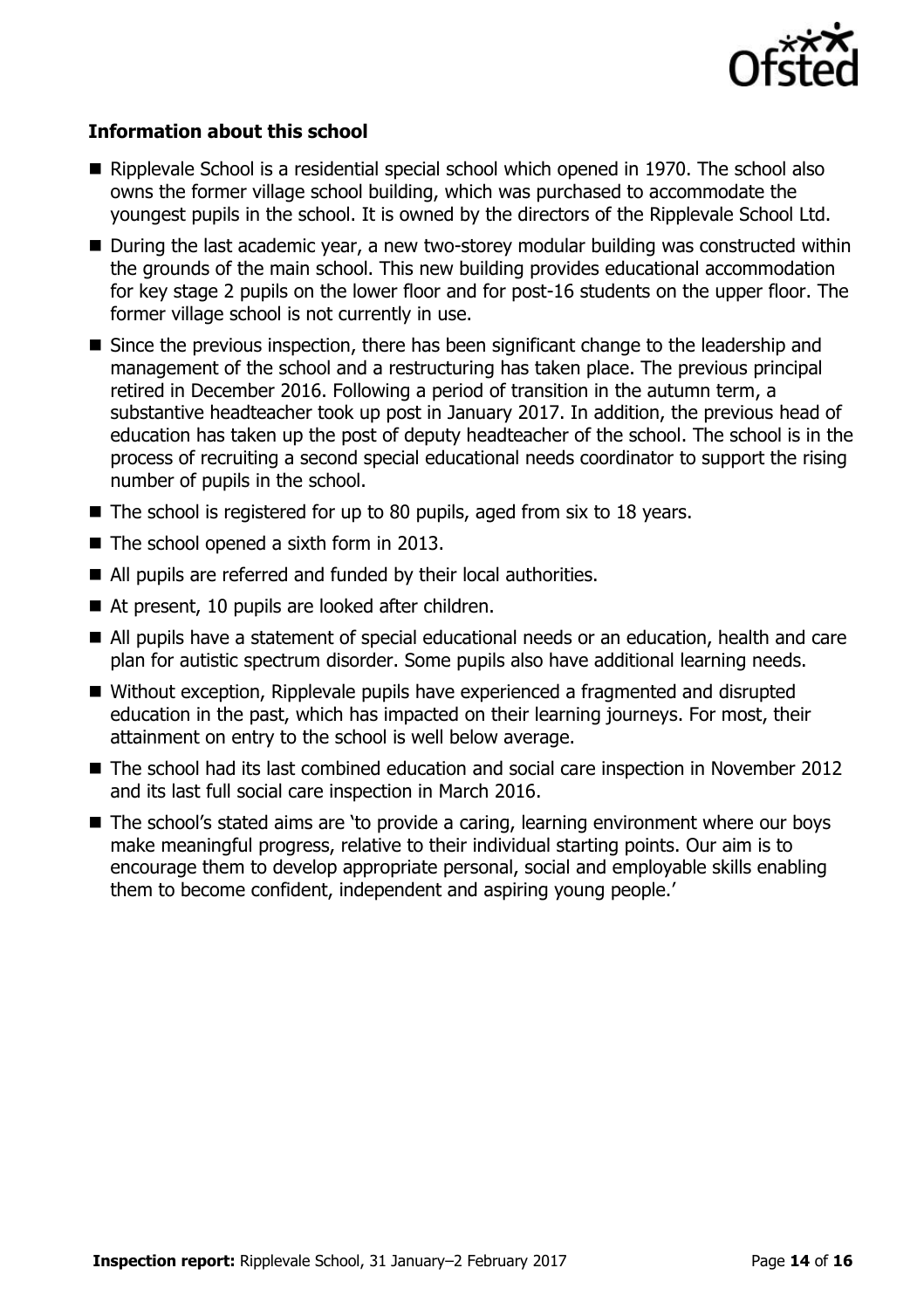

#### **Information about this school**

- $\blacksquare$  Ripplevale School is a residential special school which opened in 1970. The school also owns the former village school building, which was purchased to accommodate the youngest pupils in the school. It is owned by the directors of the Ripplevale School Ltd.
- During the last academic year, a new two-storey modular building was constructed within the grounds of the main school. This new building provides educational accommodation for key stage 2 pupils on the lower floor and for post-16 students on the upper floor. The former village school is not currently in use.
- Since the previous inspection, there has been significant change to the leadership and management of the school and a restructuring has taken place. The previous principal retired in December 2016. Following a period of transition in the autumn term, a substantive headteacher took up post in January 2017. In addition, the previous head of education has taken up the post of deputy headteacher of the school. The school is in the process of recruiting a second special educational needs coordinator to support the rising number of pupils in the school.
- $\blacksquare$  The school is registered for up to 80 pupils, aged from six to 18 years.
- The school opened a sixth form in 2013.
- All pupils are referred and funded by their local authorities.
- At present, 10 pupils are looked after children.
- All pupils have a statement of special educational needs or an education, health and care plan for autistic spectrum disorder. Some pupils also have additional learning needs.
- Without exception, Ripplevale pupils have experienced a fragmented and disrupted education in the past, which has impacted on their learning journeys. For most, their attainment on entry to the school is well below average.
- The school had its last combined education and social care inspection in November 2012 and its last full social care inspection in March 2016.
- The school's stated aims are 'to provide a caring, learning environment where our boys make meaningful progress, relative to their individual starting points. Our aim is to encourage them to develop appropriate personal, social and employable skills enabling them to become confident, independent and aspiring young people.'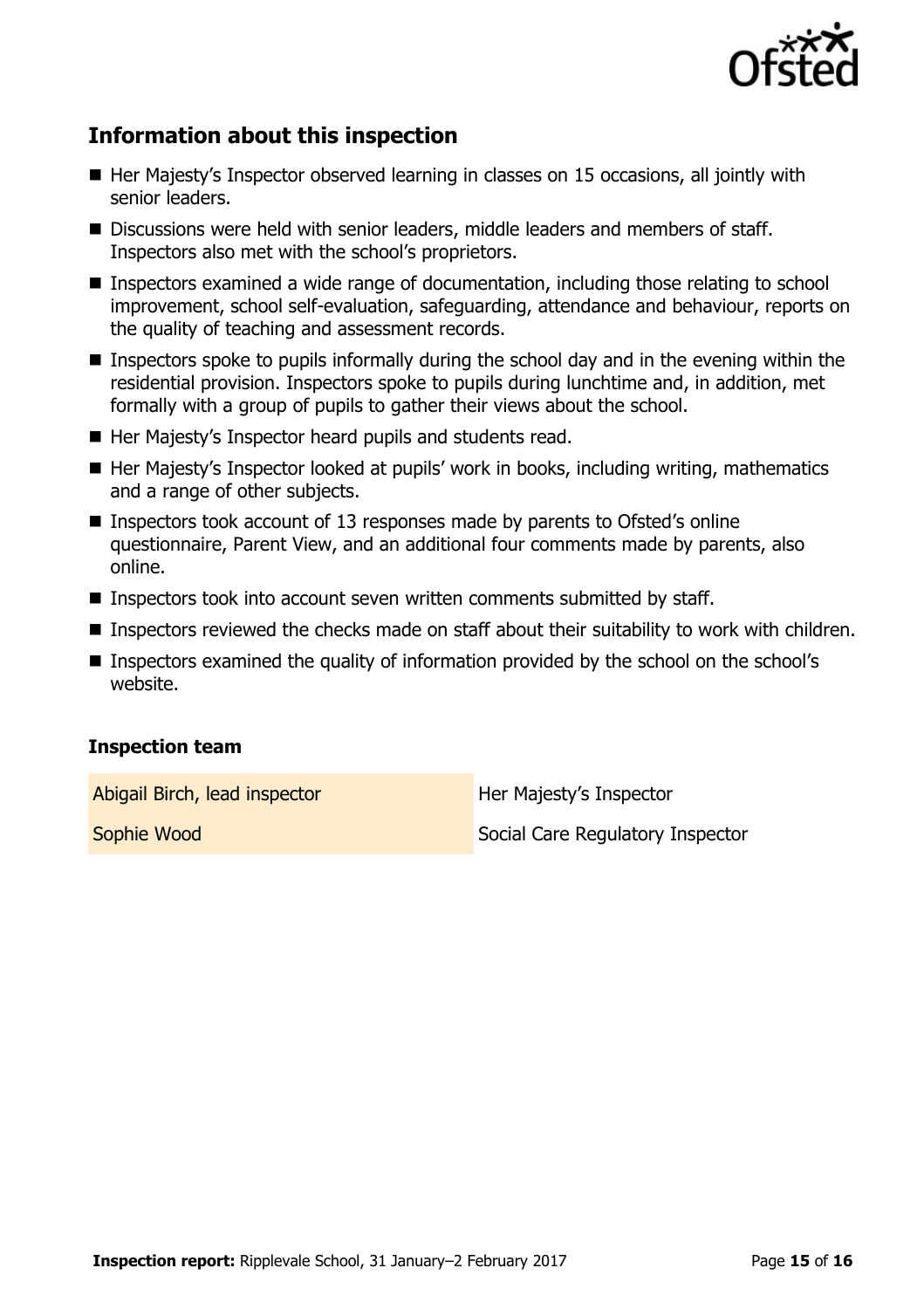

# **Information about this inspection**

- $\blacksquare$  Her Majesty's Inspector observed learning in classes on 15 occasions, all jointly with senior leaders.
- Discussions were held with senior leaders, middle leaders and members of staff. Inspectors also met with the school's proprietors.
- Inspectors examined a wide range of documentation, including those relating to school improvement, school self-evaluation, safeguarding, attendance and behaviour, reports on the quality of teaching and assessment records.
- Inspectors spoke to pupils informally during the school day and in the evening within the residential provision. Inspectors spoke to pupils during lunchtime and, in addition, met formally with a group of pupils to gather their views about the school.
- Her Majesty's Inspector heard pupils and students read.
- Her Majesty's Inspector looked at pupils' work in books, including writing, mathematics and a range of other subjects.
- Inspectors took account of 13 responses made by parents to Ofsted's online questionnaire, Parent View, and an additional four comments made by parents, also online.
- Inspectors took into account seven written comments submitted by staff.
- **Inspectors reviewed the checks made on staff about their suitability to work with children.**
- Inspectors examined the quality of information provided by the school on the school's website.

### **Inspection team**

Abigail Birch, lead inspector **Her Majesty's Inspector** 

**Sophie Wood** Social Care Regulatory Inspector